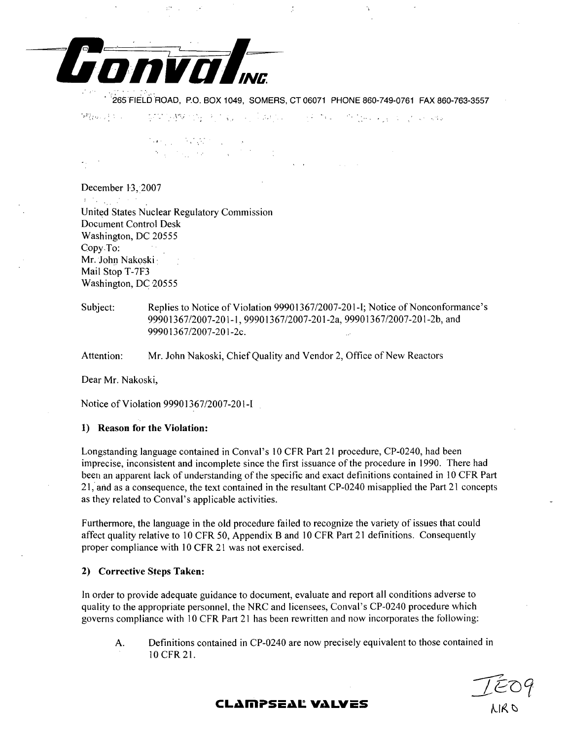

265-FIELD ROAD, P.O. BOX 1049, SOMERS, CT 06071 PHONE 860-749-0761 FAX 860-763-3557

实现的建筑经理,有点到10%,它和2%,可以将20%,而且3%,如2%,2%,2%。 開始的 中心

tanggo MWT (go)<br>Mga talasang

December 13, 2007  $\label{eq:2} \mathbf{F} = \mathbf{F}_{\mathbf{F}} \left[ \begin{array}{cc} \mathbf{F}_{\mathbf{F}} & \mathbf{F}_{\mathbf{F}} \\ \mathbf{F}_{\mathbf{F}} & \mathbf{F}_{\mathbf{F}} \end{array} \right] \mathbf{F}_{\mathbf{F}} \left[ \begin{array}{cc} \mathbf{F}_{\mathbf{F}} & \mathbf{F}_{\mathbf{F}} \end{array} \right] \mathbf{F}_{\mathbf{F}}$ United States Nuclear Regulatory Commission Document Control Desk Washington, DC 20555 Copy To: Mr. John Nakoski• Mail Stop T-7F3 Washington, DC 20555

Subject: Replies to Notice of Violation 99901367/2007-201 -I; Notice of Nonconformance's 99901367/2007-201-1, 99901367/2007-201-2a, 99901367/2007-201-2b, and 99901367/2007-201-2c.

Attention: Mr. John Nakoski, Chief Quality and Vendor 2, Office of New Reactors

Dear Mr. Nakoski,

Notice of Violation 99901367/2007-201-I

## **1)** Reason for the Violation:

Longstanding language contained in Conval's 10 CFR Part 21 procedure, CP-0240, had been imprecise, inconsistent and incomplete since the first issuance of the procedure in 1990. There had been an apparent lack of understanding of the specific and exact definitions contained in **10** CFR Part 21, and as a consequence, the text contained in the resultant CP-0240 misapplied the Part 21 concepts as they related to Conval's applicable activities.

Furthermore, the language in the old procedure failed to recognize the variety of issues that could affect quality relative to 10 CFR 50, Appendix B and 10 CFR Part 21 definitions. Consequently proper compliance with 10 CFR 21 was not exercised.

## 2) Corrective Steps Taken:

In order to provide adequate guidance to document, evaluate and report all conditions adverse to quality to the appropriate personnel, the NRC and licensees, Conval's CP-0240 procedure which governs compliance with 10 CFR Part 21 has been rewritten and now incorporates the following:

A. Definitions contained in CP-0240 are now precisely equivalent to those contained in 10 CFR 21.

# **CLAMPSEAL VALVES** AIR NEW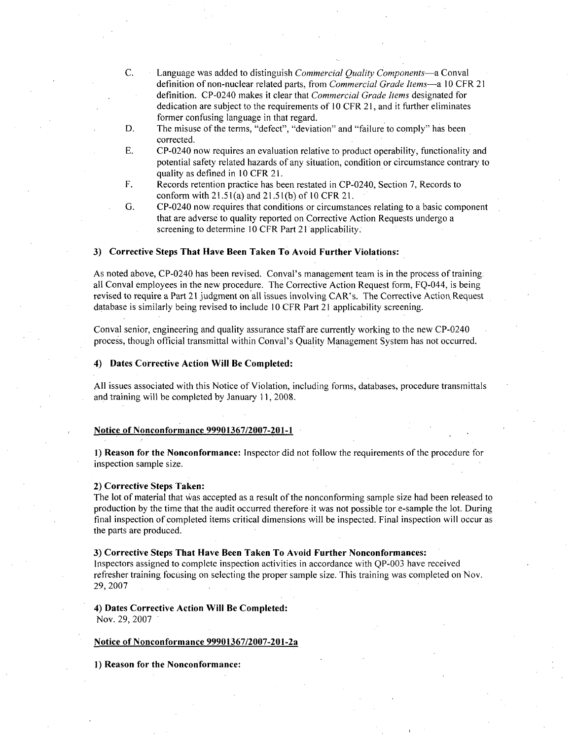- C. Language was added to distinguish *Commercial Quality Components-a* Conval definition of non-nuclear related parts, from *Commercial Grade Items-a* 10 CFR 21 definition. CP-0240 makes it clear that *Commercial Grade Items* designated for dedication are subject to the requirements of 10 CFR 21, and it further eliminates former confusing language in that regard.
- D. The misuse of the terms, "defect", "deviation" and "failure to comply" has been corrected.
- E. CP-0240 now requires an evaluation relative to product operability, functionality and potential safety related hazards of any situation, condition or circumstance contrary, to quality as defined in **10** CFR 21.
- F. Records retention practice has been restated in CP-0240, Section 7, Records to conform with 21.51(a) and 21.5 1(b) of 10 CFR 21.
- G. CP-0240 now requires that conditions or circumstances relating to a basic component that are adverse to quality reported on Corrective Action Requests undergo a screening to determine 10 CFR Part 21 applicability.

#### **3)** Corrective Steps That Have Been Taken To Avoid Further Violations:

As noted above, CP-0240 has been revised. Conval's management team is in the process of training. all Conval employees in the new procedure. The Corrective Action Request form, FQ-044, is being revised to require a Part 21 judgment on all issues involving CAR's. The Corrective Action, Request database is similarly being revised to include 10 CFR Part 21 applicability screening.

Conval senior, engineering and quality assurance staff are currently working to the new CP-0240 process, though official transmittal within Conval's Quality Management System has not occurred.

#### 4) Dates Corrective Action Will Be Completed:

All issues associated with this Notice of Violation, including forms, databases, procedure transmittals and training will be completed by January 11,2008.

## Notice of Nonconformance **99901367/2007-201-1**

**1)** Reason for the Nonconformance: Inspector did not follow the requirements of the procedure for inspection sample size.

#### 2) Corrective Steps Taken:

The lot of material that was accepted as a result of the nonconforming sample size had been released to production by the time that the audit occurred therefore it was not possible tor e-sample the lot. During final inspection of completed items critical dimensions will be inspected. Final inspection will occur as the parts are produced.

#### **3)** Corrective Steps That Have Been Taken To Avoid Further Nonconformances:

Inspectors assigned to complete inspection activities in accordance with QP-003 have received refresher training focusing on selecting the proper sample size. This training was completed on Nov. 29, 2007

#### 4) Dates Corrective Action Will Be Completed: Nov. 29, 2007

#### Notice of Nonconformance 99901367/2007-201-2a

**1)** Reason for the Nonconformance: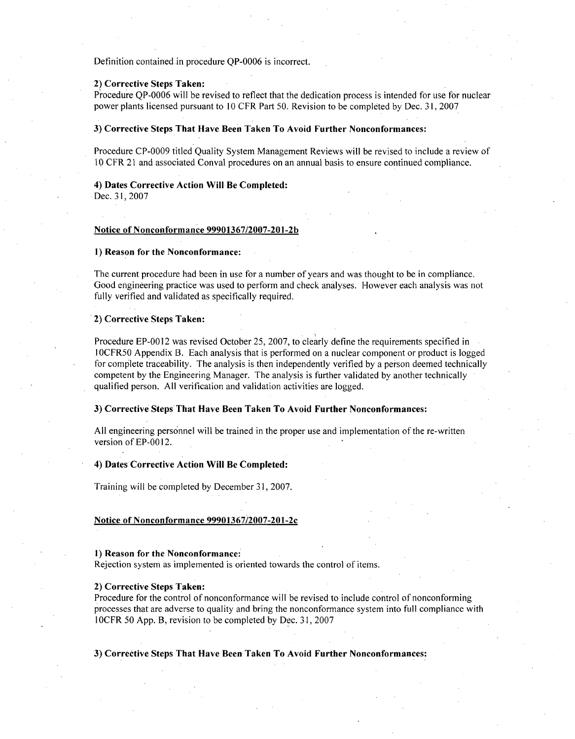Definition contained in procedure OP-0006 is incorrect.

## 2) Corrective Steps Taken:

Procedure QP-0006 will be revised to reflect that the dedication process is intended for use for nuclear power plants licensed pursuant to **10** CFR Part 50. Revision to be completed by Dec. 3 **1,** 2007

## **3)** Corrective Steps That Have Been Taken To Avoid Further Nonconformances:

Procedure CP-0009 titled Quality System Management Reviews will be revised to include a review of 10 CFR 21 and associated Conval procedures on an annual basis to ensure continued compliance.

## 4) Dates Corrective Action Will Be Completed:

Dec. *31,* 2007

## Notice of Nonconformance **99901367/2007-201-2b**

## **1)** Reason for the Nonconformance:

The current procedure had been in use for a number of years and was thought to be in compliance. Good engineering practice was used to perform and check analyses. However each analysis was not fully verified and validated as specifically required.

#### 2) Corrective Steps Taken:

Procedure EP-0012 was revised October 25, 2007, to clearly define the requirements specified in **I** OCFR50 Appendix B. Each analysis that is performed on a nuclear component or product is logged for complete traceability. The analysis is then independently verified by a person deemed technically competent by the Engineering Manager. The analysis is further validated by another technically qualified person. All verification and validation activities are logged.

#### **3)** Corrective Steps That Have Been Taken To Avoid Further Nonconformances:

All engineering personnel will be trained in the proper use and implementation of the re-written version of EP-00 12.

## 4) Dates Corrective Action Will Be Completed:

Training will be completed by December 31, 2007.

#### Notice of Nonconformance 99901367/2007-201-2c

#### **1)** Reason for the Nonconformance:

Rejection system as implemented is oriented towards the control of items.

#### 2) Corrective Steps Taken:

Procedure for the control of nonconformance will be revised to include control of nonconforming processes that are adverse to quality and bring the nonconformance system into full compliance with 10CFR 50 App. B, revision to be completed by Dec. 31, 2007

## **3)** Corrective Steps That Have Been Taken To Avoid Further Nonconformances: